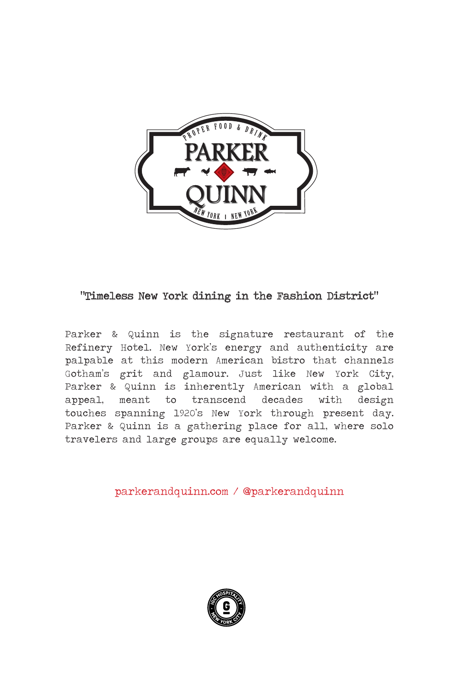

### "Timeless New York dining in the Fashion District"

Parker & Quinn is the signature restaurant of the Refinery Hotel. New York's energy and authenticity are palpable at this modern American bistro that channels Gotham's grit and glamour. Just like New York City, Parker & Quinn is inherently American with a global appeal, meant to transcend decades with design touches spanning 1920's New York through present day. Parker & Quinn is a gathering place for all, where solo travelers and large groups are equally welcome.

parkerandquinn.com / @parkerandquinn

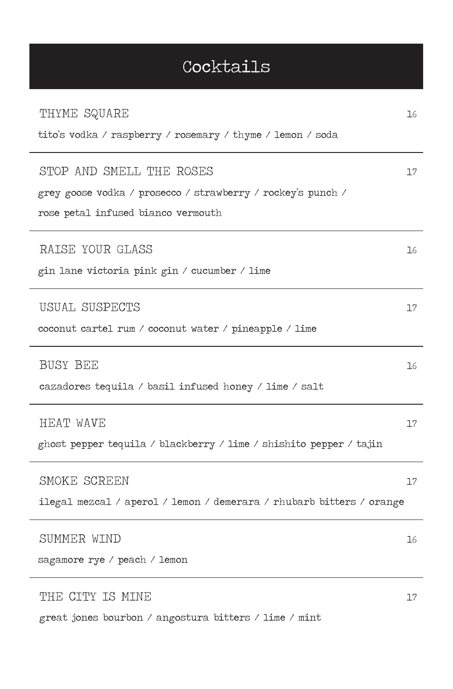# Cocktails

| THYME SQUARE                                                         | 16 |
|----------------------------------------------------------------------|----|
| tito's vodka / raspberry / rosemary / thyme / lemon / soda           |    |
| STOP AND SMELL THE ROSES                                             | 17 |
| grey goose vodka / prosecco / strawberry / rockey's punch /          |    |
| rose petal infused bianco vermouth                                   |    |
| RAISE YOUR GLASS                                                     | 16 |
| gin lane victoria pink gin / cucumber / lime                         |    |
| USUAL SUSPECTS                                                       | 17 |
| coconut cartel rum / coconut water / pineapple / lime                |    |
| <b>BUSY BEE</b>                                                      | 16 |
| cazadores tequila / basil infused honey / lime / salt                |    |
| <b>HEAT WAVE</b>                                                     | 17 |
| ghost pepper tequila / blackberry / lime / shishito pepper / tajin   |    |
| SMOKE SCREEN                                                         | 17 |
| ilegal mezcal / aperol / lemon / demerara / rhubarb bitters / orange |    |
| SUMMER WIND                                                          | 16 |
| sagamore rye / peach / lemon                                         |    |
| THE CITY IS MINE                                                     | 17 |

great jones bourbon / angostura bitters / lime / mint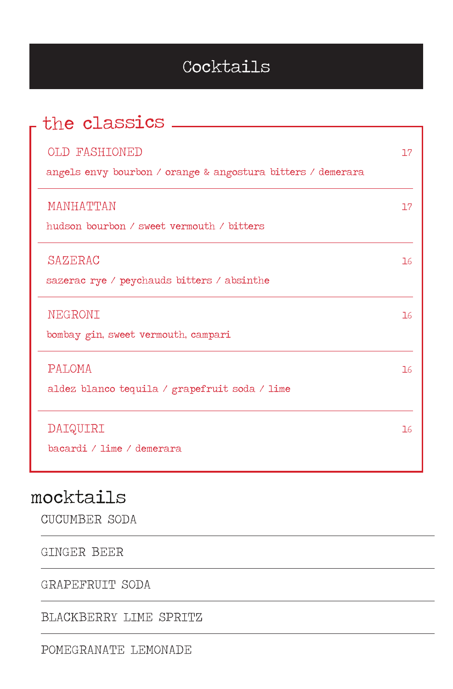# Cocktails

| the classics                                                                 |    |
|------------------------------------------------------------------------------|----|
| OLD FASHIONED<br>angels envy bourbon / orange & angostura bitters / demerara | 77 |
| MANHATTAN<br>hudson bourbon / sweet vermouth / bitters                       | 77 |
| SAZERAC<br>sazerac rye / peychauds bitters / absinthe                        | 76 |
| NEGRONI<br>bombay gin, sweet vermouth, campari                               | 16 |
| PALOMA<br>aldez blanco tequila / grapefruit soda / lime                      | 16 |
| DAIQUIRI<br>bacardi / lime / demerara                                        | 16 |

# mocktails

CUCUMBER SODA

GINGER BEER

GRAPEFRUIT SODA

BLACKBERRY LIME SPRITZ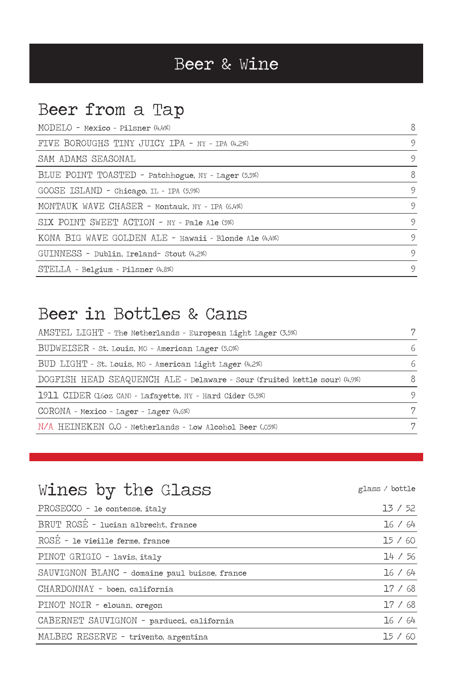# Beer & Wine

# Beer from a Tap

| MODELO - Mexico - Pilsner (4.4%)                      | 8 |
|-------------------------------------------------------|---|
| FIVE BOROUGHS TINY JUICY IPA - NY - IPA (4.2%)        | 9 |
| SAM ADAMS SEASONAL                                    | 9 |
| BLUE POINT TOASTED - Patchhogue, NY - Lager (5.5%)    | 8 |
| GOOSE ISLAND - Chicago, IL - IPA (5.9%)               | 9 |
| MONTAUK WAVE CHASER - Montauk, NY - IPA (6.4%)        | 9 |
| SIX POINT SWEET ACTION - NY - Pale Ale (5%)           | 9 |
| KONA BIG WAVE GOLDEN ALE - Hawaii - Blonde Ale (4.4%) | 9 |
| GUINNESS - Dublin, Ireland- Stout (4.2%)              | 9 |
| STELLA - Belgium - Pilsner (4.8%)                     | 9 |

### Beer in Bottles & Cans

| AMSTEL LIGHT - The Netherlands - European Light Lager (3.5%)              | 7 |
|---------------------------------------------------------------------------|---|
| BUDWEISER - St. Louis, MO - American Lager (5.0%)                         | 6 |
| BUD LIGHT - St. Louis, MO - American Light Lager (4.2%)                   | 6 |
| DOGFISH HEAD SEAQUENCH ALE - Delaware - Sour (fruited kettle sour) (4.9%) |   |
| 1911 CIDER (160z CAN) - Lafayette, NY - Hard Cider (5.5%)                 | Q |
| CORONA - Mexico - Lager - Lager (4.6%)                                    |   |
| N/A HEINEKEN O.O - Netherlands - Low Alcohol Beer (.05%)                  |   |

# Wines by the Glass state of the Glass state of the Glass of the state of the state of the  $g$ lass  $\prime$  bottle

| PROSECCO - le contesse, italy                 | 13 / 52 |
|-----------------------------------------------|---------|
| BRUT ROSÉ - lucian albrecht, france           | 16 / 64 |
| ROSE - le vieille ferme, france               | 15/60   |
| PINOT GRIGIO - lavis, italy                   | 14 / 56 |
| SAUVIGNON BLANC - domaine paul buisse, france | 16 / 64 |
| CHARDONNAY - boen, california                 | 17/68   |
| PINOT NOIR - elouan, oregon                   | 17/68   |
| CABERNET SAUVIGNON - parducci, california     | 16 / 64 |
| MALBEC RESERVE - trivento, argentina          | 15/60   |
|                                               |         |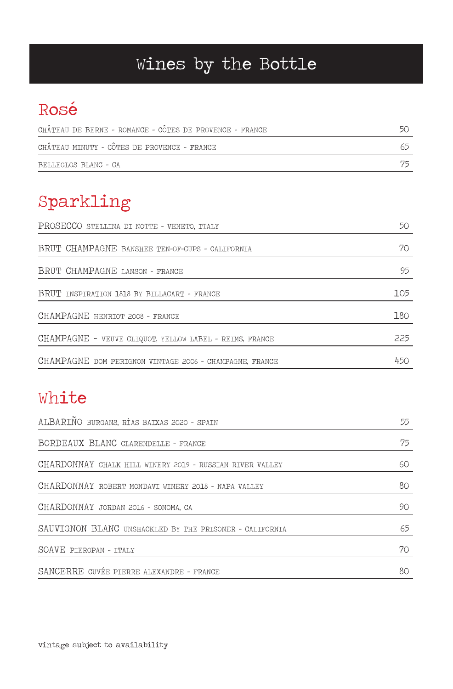# Wines by the Bottle

# Rosé

| CHATEAU DE BERNE - ROMANCE - COTES DE PROVENCE - FRANCE |  |
|---------------------------------------------------------|--|
| CHÂTEAU MINUTY - CÔTES DE PROVENCE - FRANCE             |  |
| BELLEGLOS BLANC - CA                                    |  |

# Sparkling

| PROSECCO STELLINA DI NOTTE - VENETO, ITALY              | 50  |
|---------------------------------------------------------|-----|
| BRUT CHAMPAGNE BANSHEE TEN-OF-CUPS - CALIFORNIA         | 70  |
| BRUT CHAMPAGNE LANSON - FRANCE                          | 95  |
| BRUT INSPIRATION 1818 BY BILLACART - FRANCE             | 105 |
| CHAMPAGNE HENRIOT 2008 - FRANCE                         | 180 |
| CHAMPAGNE - VEUVE CLIQUOT, YELLOW LABEL - REIMS, FRANCE | 225 |
| CHAMPAGNE DOM PERIGNON VINTAGE 2006 - CHAMPAGNE, FRANCE | 450 |

# White

| ALBARINO BURGANS, RÍAS BAIXAS 2020 - SPAIN               | 55 |
|----------------------------------------------------------|----|
| BORDEAUX BLANC CLARENDELLE - FRANCE                      | 75 |
| CHARDONNAY CHALK HILL WINERY 2019 - RUSSIAN RIVER VALLEY | 60 |
| CHARDONNAY ROBERT MONDAVI WINERY 2018 - NAPA VALLEY      | 80 |
| CHARDONNAY JORDAN 2016 - SONOMA, CA                      | 90 |
| SAUVIGNON BLANC UNSHACKLED BY THE PRISONER - CALIFORNIA  | 65 |
| SOAVE PIEROPAN - ITALY                                   | 70 |
| SANCERRE CUVÉE PIERRE ALEXANDRE - FRANCE                 | 80 |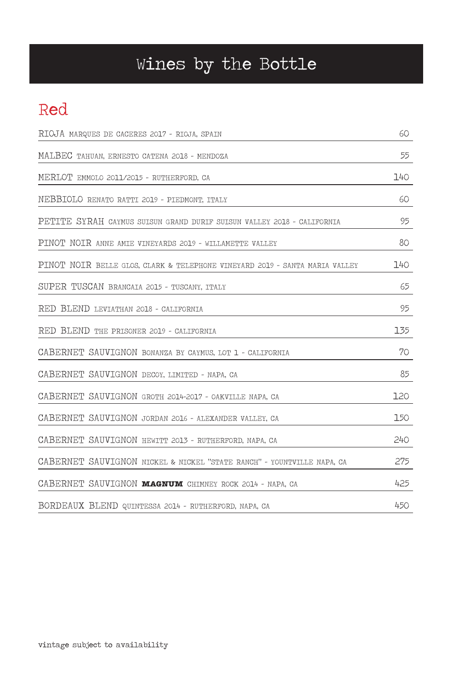# Wines by the Bottle

## Red

| RIOJA MARQUES DE CACERES 2017 - RIOJA, SPAIN                                | 60  |
|-----------------------------------------------------------------------------|-----|
| MALBEC TAHUAN, ERNESTO CATENA 2018 - MENDOZA                                | 55  |
| MERLOT EMMOLO 2011/2015 - RUTHERFORD, CA                                    | 140 |
| NEBBIOLO RENATO RATTI 2019 - PIEDMONT, ITALY                                | 60  |
| PETITE SYRAH CAYMUS SUISUN GRAND DURIF SUISUN VALLEY 2018 - CALIFORNIA      | 95  |
| PINOT NOIR ANNE AMIE VINEYARDS 2019 - WILLAMETTE VALLEY                     | 80  |
| PINOT NOIR BELLE GLOS, CLARK & TELEPHONE VINEYARD 2019 - SANTA MARIA VALLEY | 140 |
| SUPER TUSCAN BRANCAIA 2015 - TUSCANY, ITALY                                 | 65  |
| RED BLEND LEVIATHAN 2018 - CALIFORNIA                                       | 95  |
| RED BLEND THE PRISONER 2019 - CALIFORNIA                                    | 135 |
| CABERNET SAUVIGNON BONANZA BY CAYMUS, LOT 1 - CALIFORNIA                    | 70  |
| CABERNET SAUVIGNON DECOY, LIMITED - NAPA, CA                                | 85  |
| CABERNET SAUVIGNON GROTH 2014-2017 - OAKVILLE NAPA, CA                      | 120 |
| CABERNET SAUVIGNON JORDAN 2016 - ALEXANDER VALLEY, CA                       | 150 |
| CABERNET SAUVIGNON HEWITT 2013 - RUTHERFORD, NAPA, CA                       | 240 |
| CABERNET SAUVIGNON NICKEL & NICKEL "STATE RANCH" - YOUNTVILLE NAPA, CA      | 275 |
| CABERNET SAUVIGNON MAGNUM CHIMNEY ROCK 2014 - NAPA, CA                      | 425 |
| BORDEAUX BLEND QUINTESSA 2014 - RUTHERFORD, NAPA, CA                        | 450 |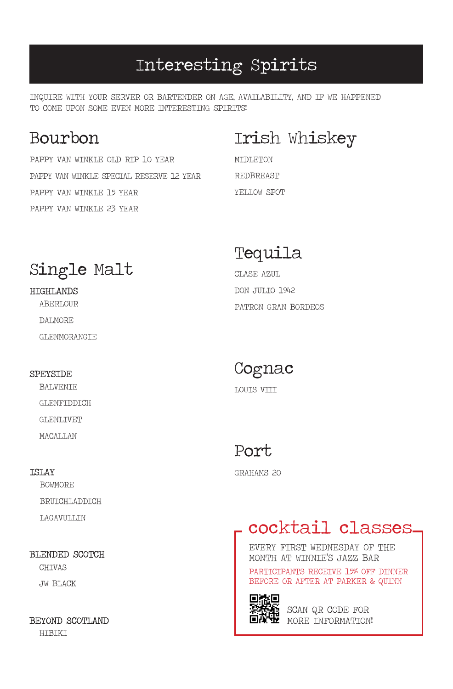## Interesting Spirits

INQUIRE WITH YOUR SERVER OR BARTENDER ON AGE, AVAILABILITY, AND IF WE HAPPENED TO COME UPON SOME EVEN MORE INTERESTING SPIRITS!

### **Bourbon**

PAPPY VAN WINKLE OLD RIP 10 YEAR PAPPY VAN WINKLE SPECIAL RESERVE 12 YEAR PAPPY VAN WINKLE 15 YEAR PAPPY VAN WINKLE 23 YEAR

# Irish Whiskey

MIDLETON REDBREAST YELLOW SPOT

# Single Malt

### **HIGHLANDS**

**ABERLOUR** DALMORE GLENMORANGIE

#### **SPEYSTDE**

BALVENIE GLENFIDDICH GLENLIVET MACALLAN

#### **TSLAY**

BOWMORE BRUICHLADDICH LAGAVULLIN

### BLENDED SCOTCH

CHIVAS JW BLACK

#### BEYOND SCOTLAND

HIBIKI

### Tequila

CLASE AZUL DON JULIO 1942 PATRON GRAN BORDEOS

# Cognac

LOUIS VIII

## Port

GRAHAMS 20

# cocktail classes

EVERY FIRST WEDNESDAY OF THE MONTH AT WINNIE'S JAZZ BAR PARTICIPANTS RECEIVE 15% OFF DINNER BEFORE OR AFTER AT PARKER & QUINN



SCAN QR CODE FOR MORE INFORMATION!